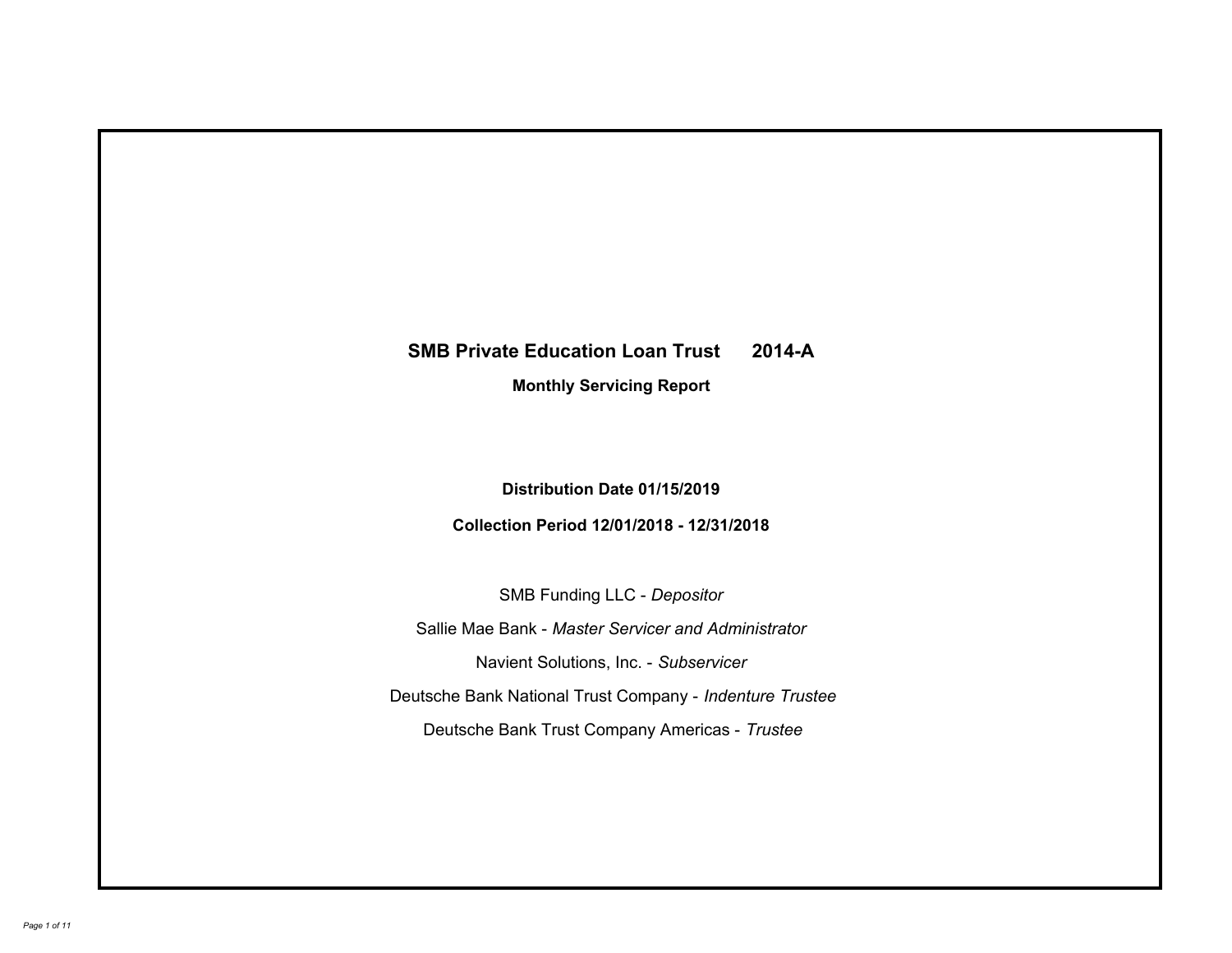# **SMB Private Education Loan Trust 2014-A Monthly Servicing Report**

# **Distribution Date 01/15/2019**

# **Collection Period 12/01/2018 - 12/31/2018**

SMB Funding LLC - *Depositor*

Sallie Mae Bank - *Master Servicer and Administrator*

Navient Solutions, Inc. - *Subservicer*

Deutsche Bank National Trust Company - *Indenture Trustee*

Deutsche Bank Trust Company Americas - *Trustee*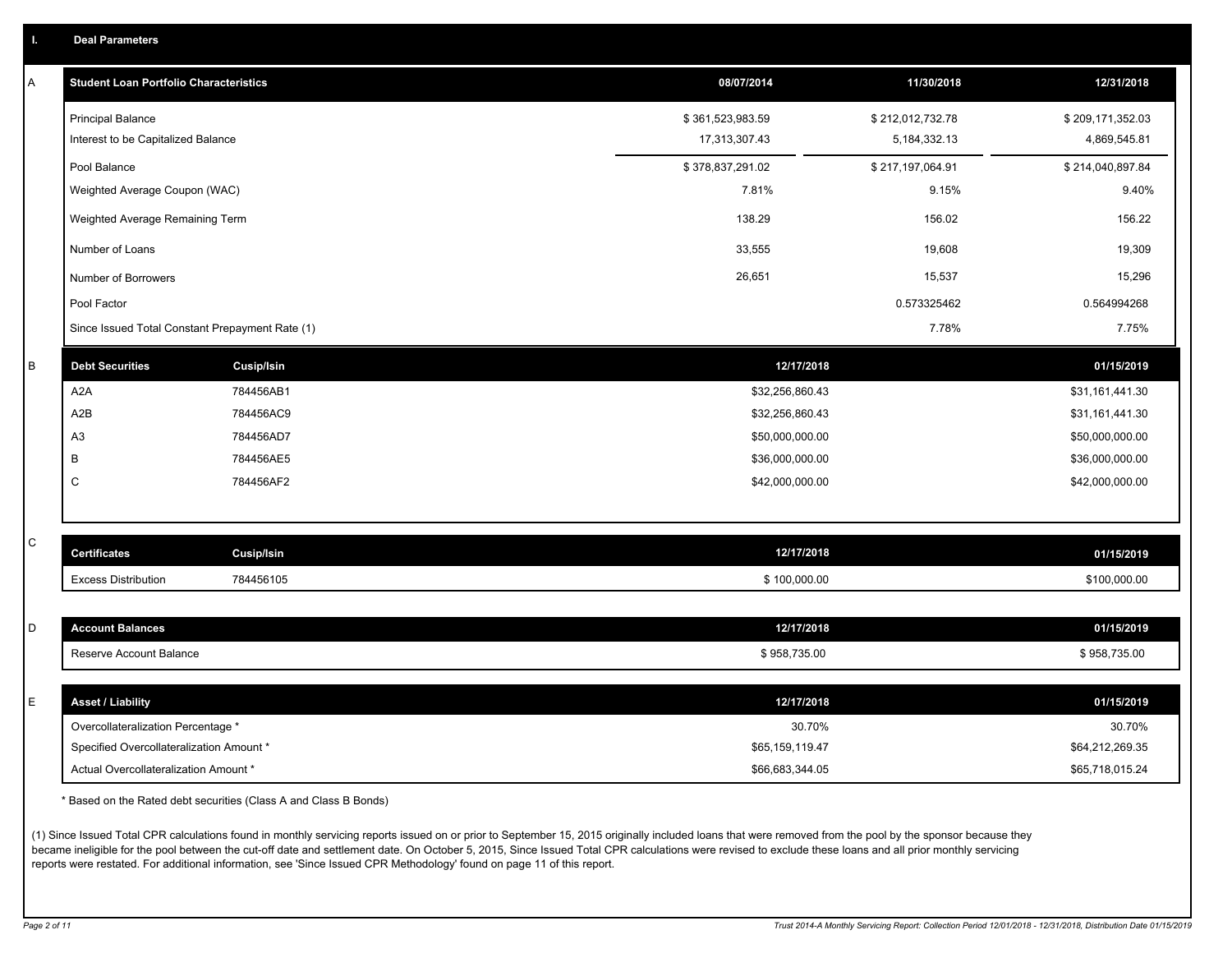|  |  |  | <b>Deal Parameters</b> |  |
|--|--|--|------------------------|--|
|--|--|--|------------------------|--|

| A | <b>Student Loan Portfolio Characteristics</b>   |                   | 08/07/2014       | 11/30/2018       | 12/31/2018       |
|---|-------------------------------------------------|-------------------|------------------|------------------|------------------|
|   | <b>Principal Balance</b>                        |                   | \$361,523,983.59 | \$212,012,732.78 | \$209,171,352.03 |
|   | Interest to be Capitalized Balance              |                   | 17,313,307.43    | 5, 184, 332. 13  | 4,869,545.81     |
|   | Pool Balance                                    |                   | \$378,837,291.02 | \$217,197,064.91 | \$214,040,897.84 |
|   | Weighted Average Coupon (WAC)                   |                   | 7.81%            | 9.15%            | 9.40%            |
|   | Weighted Average Remaining Term                 |                   | 138.29           | 156.02           | 156.22           |
|   | Number of Loans                                 |                   | 33,555           | 19,608           | 19,309           |
|   | Number of Borrowers                             |                   | 26,651           | 15,537           | 15,296           |
|   | Pool Factor                                     |                   |                  | 0.573325462      | 0.564994268      |
|   | Since Issued Total Constant Prepayment Rate (1) |                   |                  | 7.78%            | 7.75%            |
| B | <b>Debt Securities</b>                          | <b>Cusip/Isin</b> | 12/17/2018       |                  | 01/15/2019       |
|   | A2A                                             | 784456AB1         | \$32,256,860.43  |                  | \$31,161,441.30  |
|   | A2B                                             | 784456AC9         | \$32,256,860.43  |                  | \$31,161,441.30  |
|   | A <sub>3</sub>                                  | 784456AD7         | \$50,000,000.00  |                  | \$50,000,000.00  |
|   | В                                               | 784456AE5         | \$36,000,000.00  |                  | \$36,000,000.00  |
|   | C                                               | 784456AF2         | \$42,000,000.00  |                  | \$42,000,000.00  |
|   |                                                 |                   |                  |                  |                  |
| C | <b>Certificates</b>                             | <b>Cusip/Isin</b> | 12/17/2018       |                  | 01/15/2019       |
|   | <b>Excess Distribution</b>                      | 784456105         | \$100,000.00     |                  | \$100,000.00     |
|   |                                                 |                   |                  |                  |                  |
| D | <b>Account Balances</b>                         |                   | 12/17/2018       |                  | 01/15/2019       |
|   | Reserve Account Balance                         |                   | \$958,735.00     |                  | \$958,735.00     |
| E | <b>Asset / Liability</b>                        |                   | 12/17/2018       |                  | 01/15/2019       |
|   | Overcollateralization Percentage *              |                   | 30.70%           |                  | 30.70%           |
|   | Specified Overcollateralization Amount *        |                   | \$65,159,119.47  |                  | \$64,212,269.35  |
|   | Actual Overcollateralization Amount *           |                   | \$66,683,344.05  |                  | \$65,718,015.24  |

\* Based on the Rated debt securities (Class A and Class B Bonds)

(1) Since Issued Total CPR calculations found in monthly servicing reports issued on or prior to September 15, 2015 originally included loans that were removed from the pool by the sponsor because they became ineligible for the pool between the cut-off date and settlement date. On October 5, 2015, Since Issued Total CPR calculations were revised to exclude these loans and all prior monthly servicing reports were restated. For additional information, see 'Since Issued CPR Methodology' found on page 11 of this report.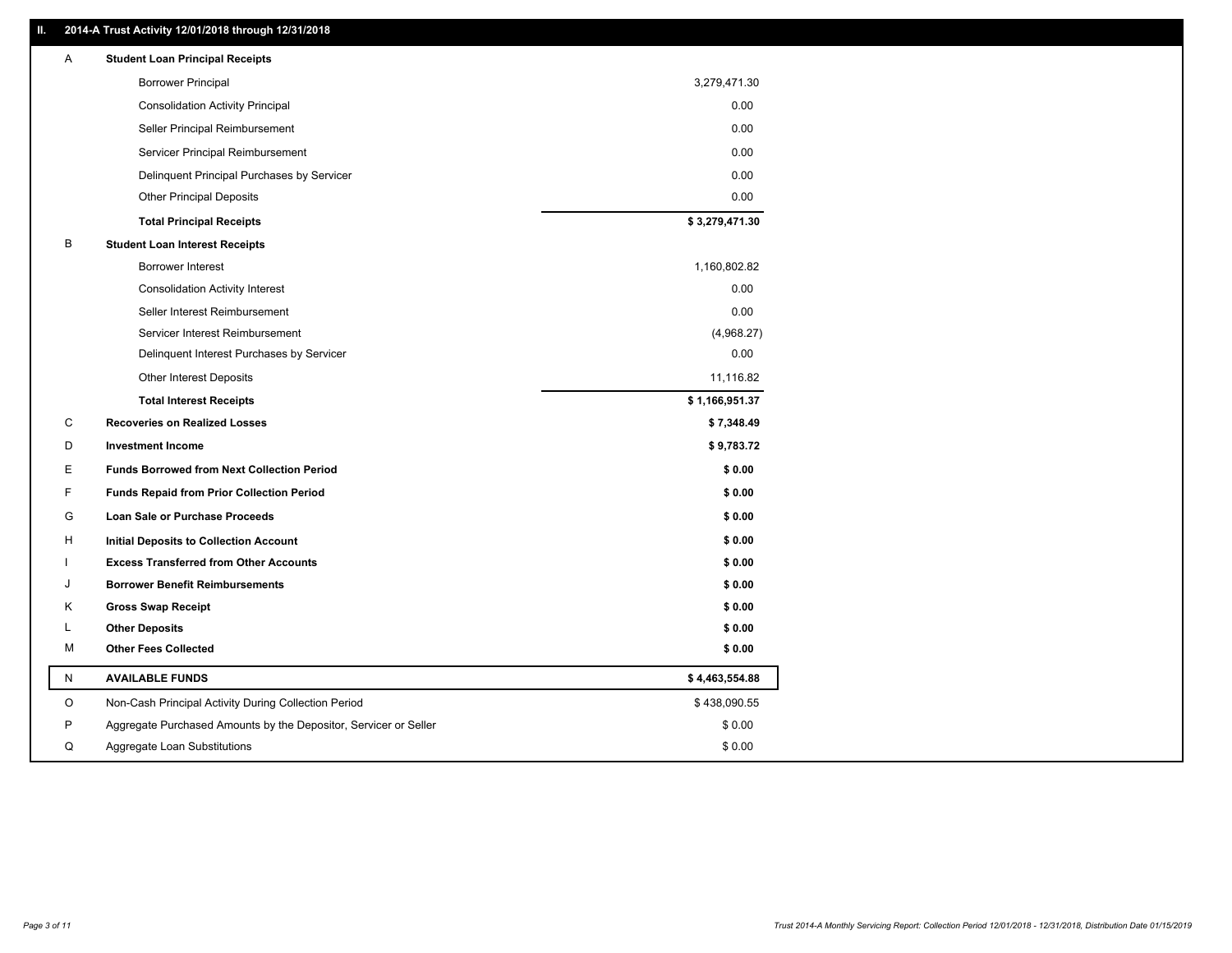### **II. 2014-A Trust Activity 12/01/2018 through 12/31/2018**

| Α            | <b>Student Loan Principal Receipts</b>                           |                |
|--------------|------------------------------------------------------------------|----------------|
|              | <b>Borrower Principal</b>                                        | 3,279,471.30   |
|              | <b>Consolidation Activity Principal</b>                          | 0.00           |
|              | Seller Principal Reimbursement                                   | 0.00           |
|              | Servicer Principal Reimbursement                                 | 0.00           |
|              | Delinquent Principal Purchases by Servicer                       | 0.00           |
|              | <b>Other Principal Deposits</b>                                  | 0.00           |
|              | <b>Total Principal Receipts</b>                                  | \$3,279,471.30 |
| B            | <b>Student Loan Interest Receipts</b>                            |                |
|              | <b>Borrower Interest</b>                                         | 1,160,802.82   |
|              | <b>Consolidation Activity Interest</b>                           | 0.00           |
|              | Seller Interest Reimbursement                                    | 0.00           |
|              | Servicer Interest Reimbursement                                  | (4,968.27)     |
|              | Delinquent Interest Purchases by Servicer                        | 0.00           |
|              | Other Interest Deposits                                          | 11,116.82      |
|              | <b>Total Interest Receipts</b>                                   | \$1,166,951.37 |
| С            | <b>Recoveries on Realized Losses</b>                             | \$7,348.49     |
| D            | <b>Investment Income</b>                                         | \$9,783.72     |
| Е            | <b>Funds Borrowed from Next Collection Period</b>                | \$0.00         |
| F            | <b>Funds Repaid from Prior Collection Period</b>                 | \$0.00         |
| G            | Loan Sale or Purchase Proceeds                                   | \$0.00         |
| H            | Initial Deposits to Collection Account                           | \$0.00         |
|              | <b>Excess Transferred from Other Accounts</b>                    | \$0.00         |
| J            | <b>Borrower Benefit Reimbursements</b>                           | \$0.00         |
| Κ            | <b>Gross Swap Receipt</b>                                        | \$0.00         |
| L            | <b>Other Deposits</b>                                            | \$0.00         |
| М            | <b>Other Fees Collected</b>                                      | \$0.00         |
| $\mathsf{N}$ | <b>AVAILABLE FUNDS</b>                                           | \$4,463,554.88 |
| O            | Non-Cash Principal Activity During Collection Period             | \$438,090.55   |
| P            | Aggregate Purchased Amounts by the Depositor, Servicer or Seller | \$0.00         |
| Q            | Aggregate Loan Substitutions                                     | \$0.00         |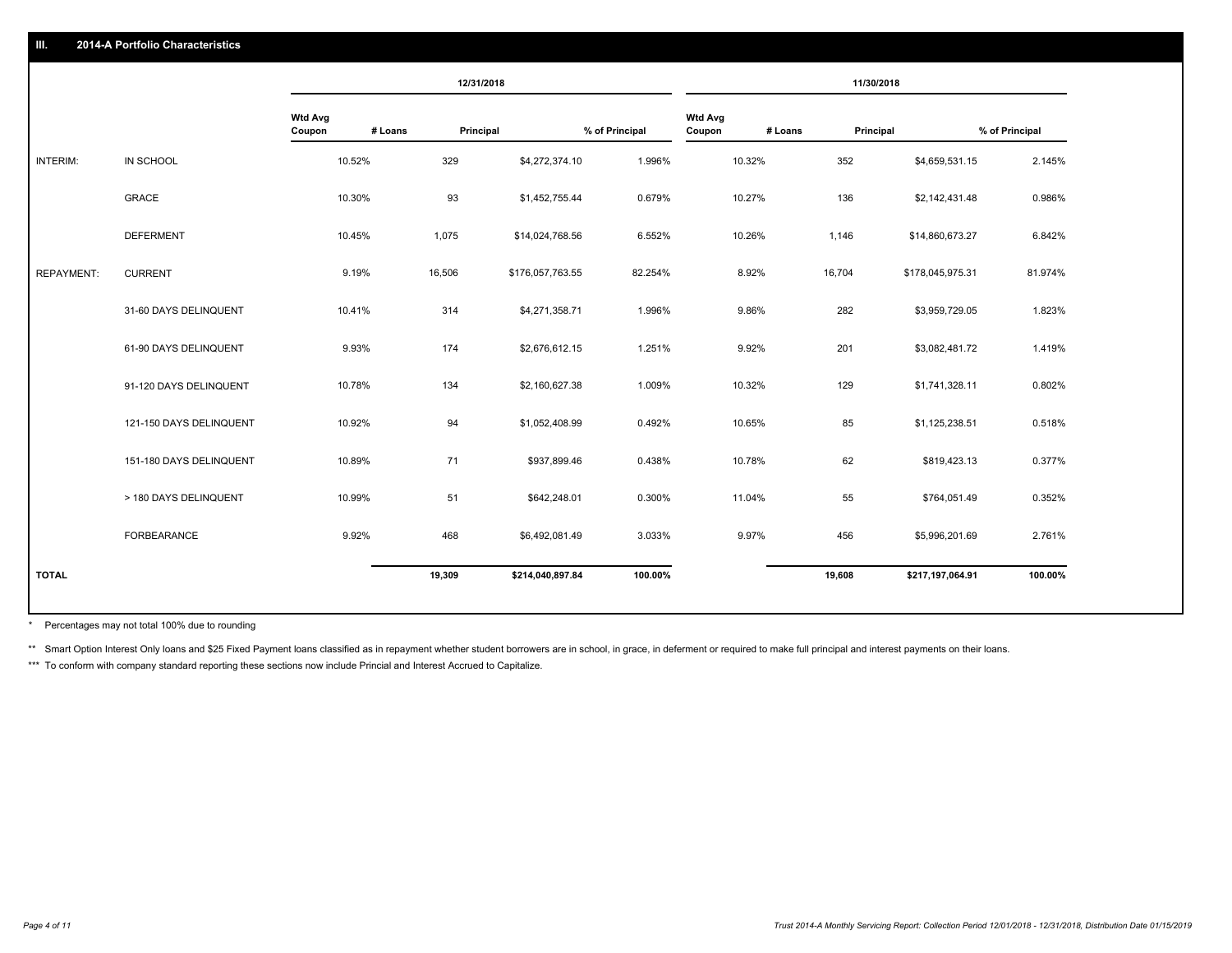|                   |                         |                   |         | 12/31/2018       |                |                          |         | 11/30/2018           |                |
|-------------------|-------------------------|-------------------|---------|------------------|----------------|--------------------------|---------|----------------------|----------------|
|                   |                         | Wtd Avg<br>Coupon | # Loans | Principal        | % of Principal | <b>Wtd Avg</b><br>Coupon | # Loans | Principal            | % of Principal |
| INTERIM:          | IN SCHOOL               | 10.52%            | 329     | \$4,272,374.10   | 1.996%         | 10.32%                   | 352     | \$4,659,531.15       | 2.145%         |
|                   | <b>GRACE</b>            | 10.30%            | 93      | \$1,452,755.44   | 0.679%         | 10.27%                   | 136     | \$2,142,431.48       | 0.986%         |
|                   | <b>DEFERMENT</b>        | 10.45%            | 1,075   | \$14,024,768.56  | 6.552%         | 10.26%                   | 1,146   | \$14,860,673.27      | 6.842%         |
| <b>REPAYMENT:</b> | <b>CURRENT</b>          | 9.19%             | 16,506  | \$176,057,763.55 | 82.254%        | 8.92%                    | 16,704  | \$178,045,975.31     | 81.974%        |
|                   | 31-60 DAYS DELINQUENT   | 10.41%            | 314     | \$4,271,358.71   | 1.996%         | 9.86%                    | 282     | \$3,959,729.05       | 1.823%         |
|                   | 61-90 DAYS DELINQUENT   | 9.93%             | 174     | \$2,676,612.15   | 1.251%         | 9.92%                    | 201     | \$3,082,481.72       | 1.419%         |
|                   | 91-120 DAYS DELINQUENT  | 10.78%            | 134     | \$2,160,627.38   | 1.009%         | 10.32%                   | 129     | \$1,741,328.11       | 0.802%         |
|                   | 121-150 DAYS DELINQUENT | 10.92%            | 94      | \$1,052,408.99   | 0.492%         | 10.65%                   |         | 85<br>\$1,125,238.51 | 0.518%         |
|                   | 151-180 DAYS DELINQUENT | 10.89%            | 71      | \$937,899.46     | 0.438%         | 10.78%                   |         | 62<br>\$819,423.13   | 0.377%         |
|                   | > 180 DAYS DELINQUENT   | 10.99%            | 51      | \$642,248.01     | 0.300%         | 11.04%                   |         | 55<br>\$764,051.49   | 0.352%         |
|                   | <b>FORBEARANCE</b>      | 9.92%             | 468     | \$6,492,081.49   | 3.033%         | 9.97%                    | 456     | \$5,996,201.69       | 2.761%         |
| <b>TOTAL</b>      |                         |                   | 19,309  | \$214,040,897.84 | 100.00%        |                          | 19,608  | \$217,197,064.91     | 100.00%        |
|                   |                         |                   |         |                  |                |                          |         |                      |                |

Percentages may not total 100% due to rounding \*

\*\* Smart Option Interest Only loans and \$25 Fixed Payment loans classified as in repayment whether student borrowers are in school, in grace, in deferment or required to make full principal and interest payments on their l

\*\*\* To conform with company standard reporting these sections now include Princial and Interest Accrued to Capitalize.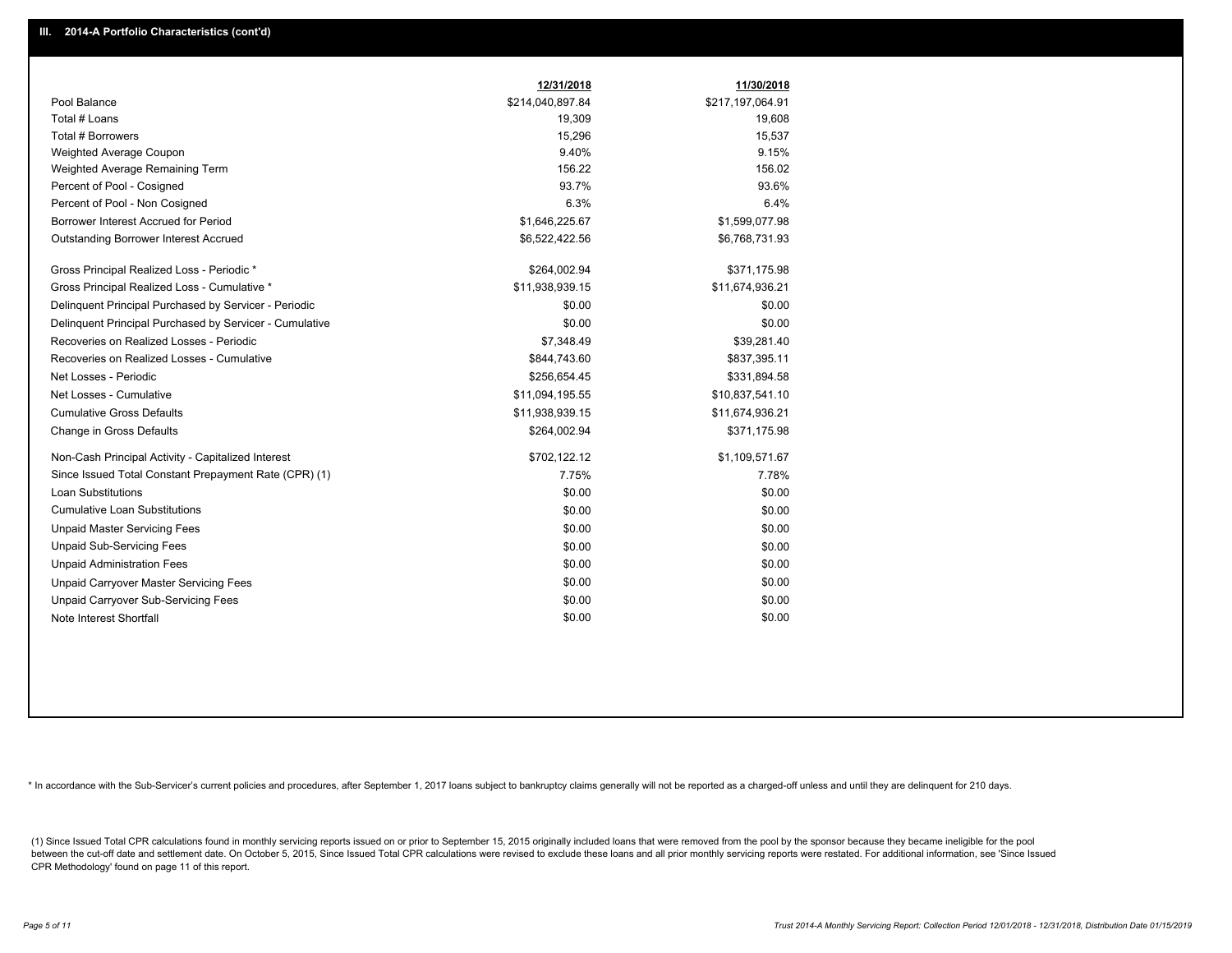|                                                         | 12/31/2018       | 11/30/2018       |
|---------------------------------------------------------|------------------|------------------|
| Pool Balance                                            | \$214,040,897.84 | \$217,197,064.91 |
| Total # Loans                                           | 19,309           | 19,608           |
| Total # Borrowers                                       | 15,296           | 15,537           |
| Weighted Average Coupon                                 | 9.40%            | 9.15%            |
| Weighted Average Remaining Term                         | 156.22           | 156.02           |
| Percent of Pool - Cosigned                              | 93.7%            | 93.6%            |
| Percent of Pool - Non Cosigned                          | 6.3%             | 6.4%             |
| Borrower Interest Accrued for Period                    | \$1,646,225.67   | \$1,599,077.98   |
| <b>Outstanding Borrower Interest Accrued</b>            | \$6,522,422.56   | \$6,768,731.93   |
| Gross Principal Realized Loss - Periodic *              | \$264,002.94     | \$371,175.98     |
| Gross Principal Realized Loss - Cumulative *            | \$11,938,939.15  | \$11,674,936.21  |
| Delinguent Principal Purchased by Servicer - Periodic   | \$0.00           | \$0.00           |
| Delinguent Principal Purchased by Servicer - Cumulative | \$0.00           | \$0.00           |
| Recoveries on Realized Losses - Periodic                | \$7,348.49       | \$39,281.40      |
| Recoveries on Realized Losses - Cumulative              | \$844,743.60     | \$837,395.11     |
| Net Losses - Periodic                                   | \$256,654.45     | \$331,894.58     |
| Net Losses - Cumulative                                 | \$11,094,195.55  | \$10,837,541.10  |
| <b>Cumulative Gross Defaults</b>                        | \$11,938,939.15  | \$11,674,936.21  |
| Change in Gross Defaults                                | \$264,002.94     | \$371,175.98     |
| Non-Cash Principal Activity - Capitalized Interest      | \$702,122.12     | \$1,109,571.67   |
| Since Issued Total Constant Prepayment Rate (CPR) (1)   | 7.75%            | 7.78%            |
| <b>Loan Substitutions</b>                               | \$0.00           | \$0.00           |
| <b>Cumulative Loan Substitutions</b>                    | \$0.00           | \$0.00           |
| <b>Unpaid Master Servicing Fees</b>                     | \$0.00           | \$0.00           |
| <b>Unpaid Sub-Servicing Fees</b>                        | \$0.00           | \$0.00           |
| <b>Unpaid Administration Fees</b>                       | \$0.00           | \$0.00           |
| Unpaid Carryover Master Servicing Fees                  | \$0.00           | \$0.00           |
| Unpaid Carryover Sub-Servicing Fees                     | \$0.00           | \$0.00           |
| Note Interest Shortfall                                 | \$0.00           | \$0.00           |

\* In accordance with the Sub-Servicer's current policies and procedures, after September 1, 2017 loans subject to bankruptcy claims generally will not be reported as a charged-off unless and until they are delinquent for 2

(1) Since Issued Total CPR calculations found in monthly servicing reports issued on or prior to September 15, 2015 originally included loans that were removed from the pool by the sponsor because they became ineligible fo between the cut-off date and settlement date. On October 5, 2015, Since Issued Total CPR calculations were revised to exclude these loans and all prior monthly servicing reports were restated. For additional information, s CPR Methodology' found on page 11 of this report.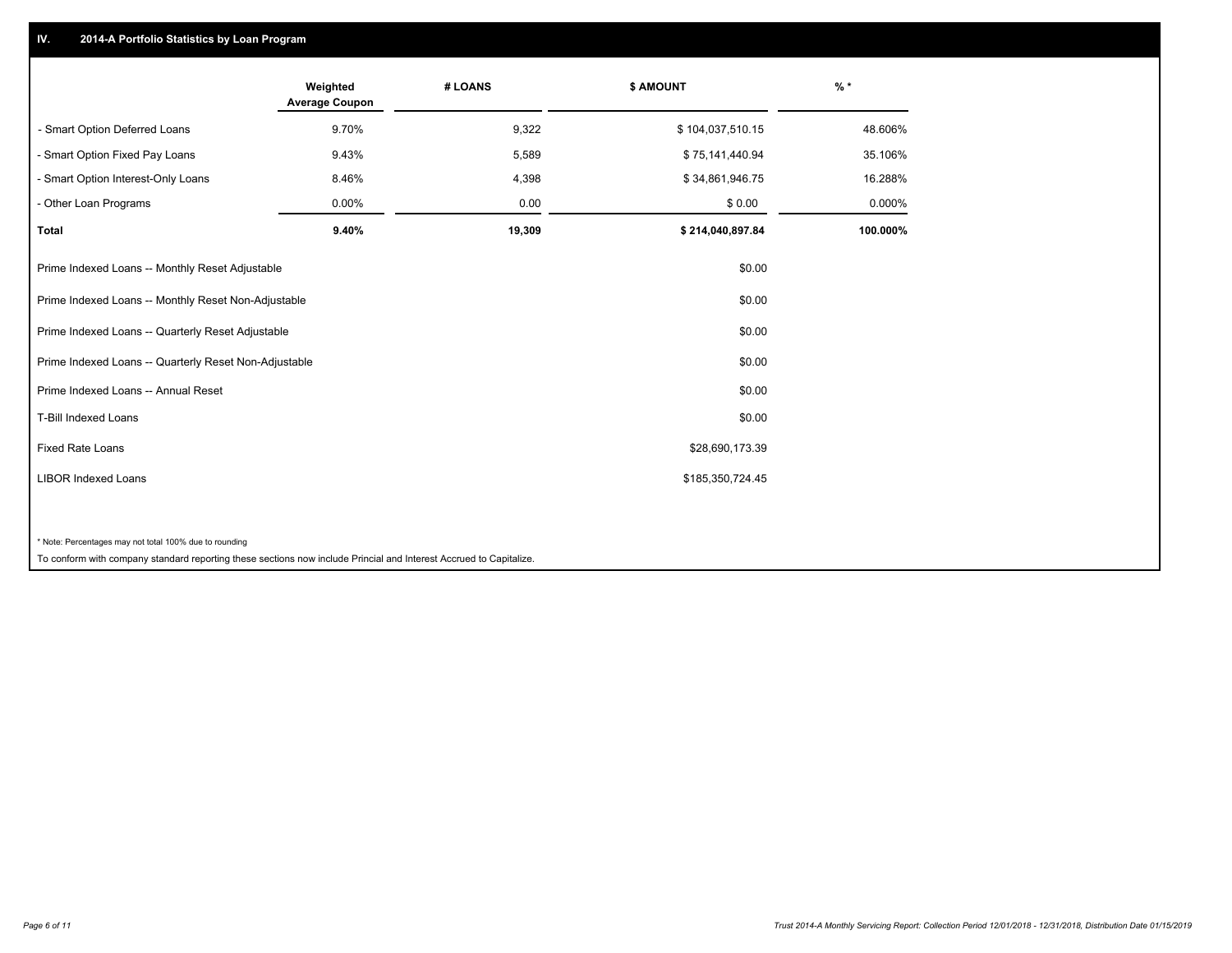## **IV. 2014-A Portfolio Statistics by Loan Program**

|                                                        | Weighted<br><b>Average Coupon</b> | # LOANS | <b>\$ AMOUNT</b> | $%$ *    |
|--------------------------------------------------------|-----------------------------------|---------|------------------|----------|
| - Smart Option Deferred Loans                          | 9.70%                             | 9,322   | \$104,037,510.15 | 48.606%  |
| - Smart Option Fixed Pay Loans                         | 9.43%                             | 5,589   | \$75,141,440.94  | 35.106%  |
| - Smart Option Interest-Only Loans                     | 8.46%                             | 4,398   | \$34,861,946.75  | 16.288%  |
| - Other Loan Programs                                  | 0.00%                             | 0.00    | \$0.00           | 0.000%   |
| <b>Total</b>                                           | 9.40%                             | 19,309  | \$214,040,897.84 | 100.000% |
| Prime Indexed Loans -- Monthly Reset Adjustable        |                                   |         | \$0.00           |          |
| Prime Indexed Loans -- Monthly Reset Non-Adjustable    |                                   |         | \$0.00           |          |
| Prime Indexed Loans -- Quarterly Reset Adjustable      |                                   |         | \$0.00           |          |
| Prime Indexed Loans -- Quarterly Reset Non-Adjustable  |                                   |         | \$0.00           |          |
| Prime Indexed Loans -- Annual Reset                    |                                   |         | \$0.00           |          |
| <b>T-Bill Indexed Loans</b>                            |                                   |         | \$0.00           |          |
| <b>Fixed Rate Loans</b>                                |                                   |         | \$28,690,173.39  |          |
| <b>LIBOR Indexed Loans</b>                             |                                   |         | \$185,350,724.45 |          |
|                                                        |                                   |         |                  |          |
| * Note: Percentages may not total 100% due to rounding |                                   |         |                  |          |

To conform with company standard reporting these sections now include Princial and Interest Accrued to Capitalize.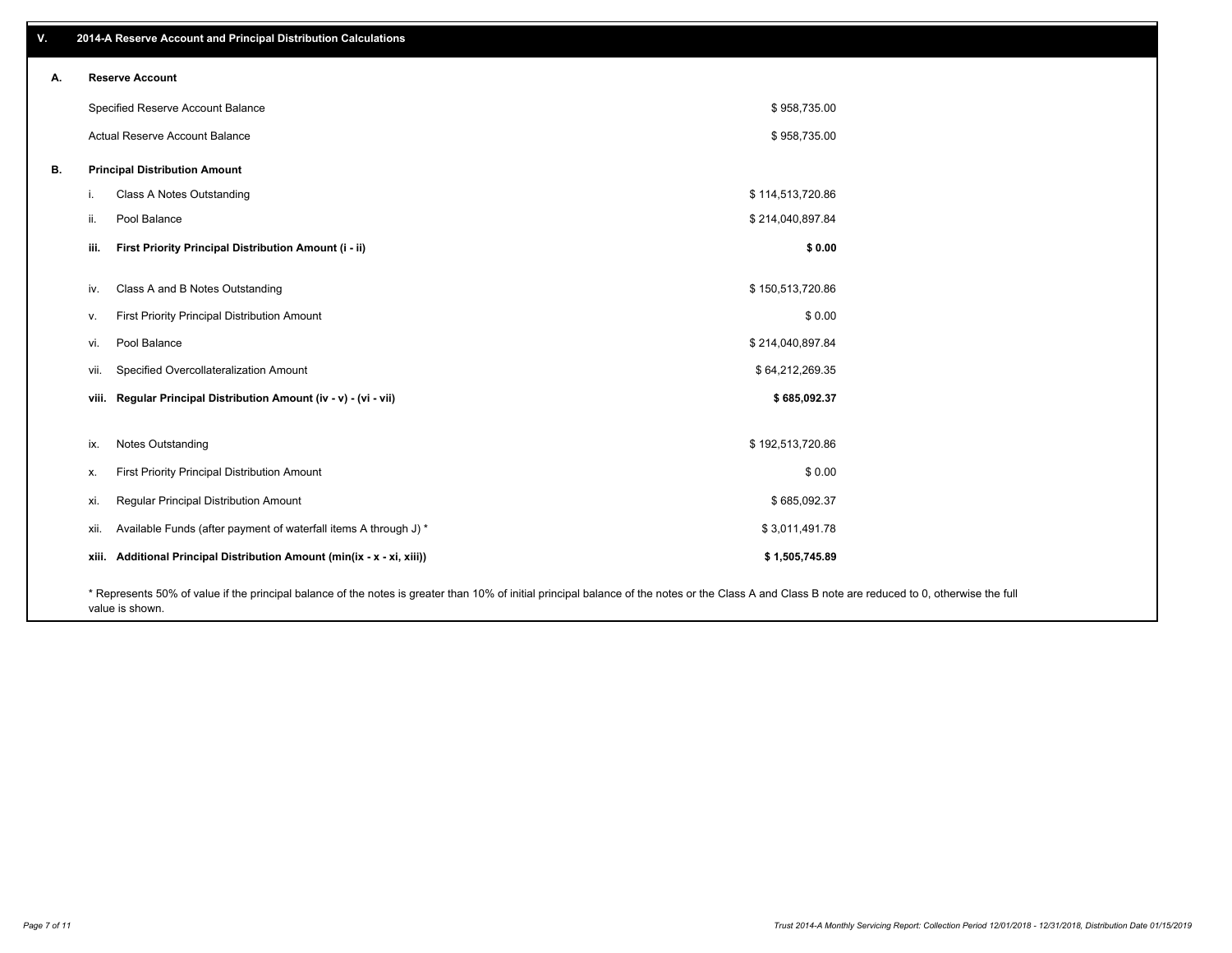| v. | 2014-A Reserve Account and Principal Distribution Calculations                                                                                                                                     |                  |  |
|----|----------------------------------------------------------------------------------------------------------------------------------------------------------------------------------------------------|------------------|--|
| Α. | <b>Reserve Account</b>                                                                                                                                                                             |                  |  |
|    | Specified Reserve Account Balance                                                                                                                                                                  | \$958,735.00     |  |
|    | Actual Reserve Account Balance                                                                                                                                                                     | \$958,735.00     |  |
| В. | <b>Principal Distribution Amount</b>                                                                                                                                                               |                  |  |
|    | Class A Notes Outstanding<br>j.                                                                                                                                                                    | \$114,513,720.86 |  |
|    | Pool Balance<br>ii.                                                                                                                                                                                | \$214,040,897.84 |  |
|    | First Priority Principal Distribution Amount (i - ii)<br>iii.                                                                                                                                      | \$0.00           |  |
|    |                                                                                                                                                                                                    |                  |  |
|    | Class A and B Notes Outstanding<br>iv.                                                                                                                                                             | \$150,513,720.86 |  |
|    | First Priority Principal Distribution Amount<br>V.                                                                                                                                                 | \$0.00           |  |
|    | Pool Balance<br>vi.                                                                                                                                                                                | \$214,040,897.84 |  |
|    | Specified Overcollateralization Amount<br>vii.                                                                                                                                                     | \$64,212,269.35  |  |
|    | viii. Regular Principal Distribution Amount (iv - v) - (vi - vii)                                                                                                                                  | \$685,092.37     |  |
|    |                                                                                                                                                                                                    |                  |  |
|    | Notes Outstanding<br>ix.                                                                                                                                                                           | \$192,513,720.86 |  |
|    | First Priority Principal Distribution Amount<br>х.                                                                                                                                                 | \$0.00           |  |
|    | Regular Principal Distribution Amount<br>xi.                                                                                                                                                       | \$685,092.37     |  |
|    | Available Funds (after payment of waterfall items A through J) *<br>xii.                                                                                                                           | \$3,011,491.78   |  |
|    | xiii. Additional Principal Distribution Amount (min(ix - x - xi, xiii))                                                                                                                            | \$1,505,745.89   |  |
|    | * Represents 50% of value if the principal balance of the notes is greater than 10% of initial principal balance of the notes or the Class A and Class B note are reduced to 0, otherwise the full |                  |  |

value is shown.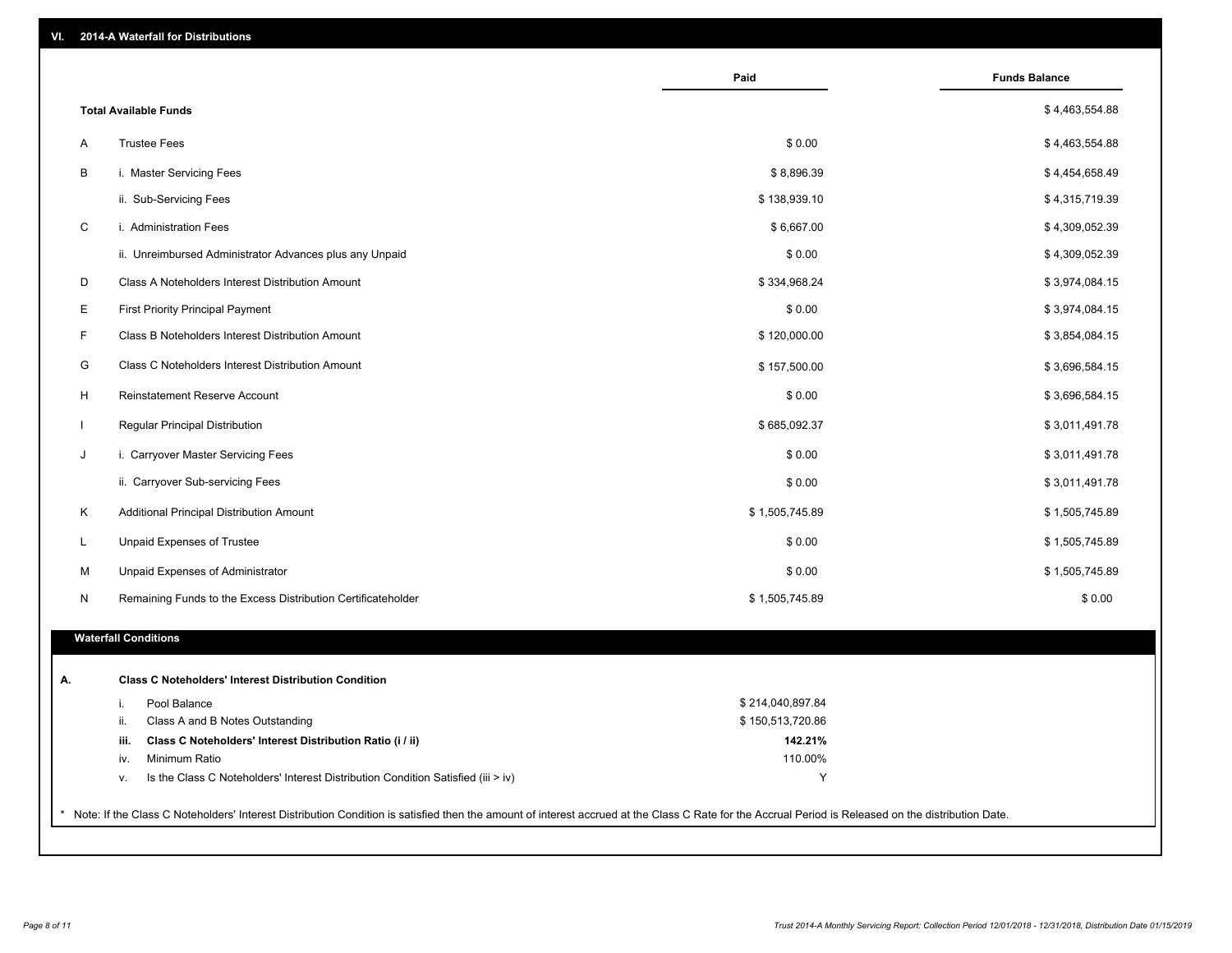| VI. |  | 2014-A Waterfall for Distributions |  |  |  |
|-----|--|------------------------------------|--|--|--|
|-----|--|------------------------------------|--|--|--|

|              |                                                                                        | Paid             | <b>Funds Balance</b> |
|--------------|----------------------------------------------------------------------------------------|------------------|----------------------|
|              | <b>Total Available Funds</b>                                                           |                  | \$4,463,554.88       |
| A            | <b>Trustee Fees</b>                                                                    | \$0.00           | \$4,463,554.88       |
| B            | i. Master Servicing Fees                                                               | \$8,896.39       | \$4,454,658.49       |
|              | ii. Sub-Servicing Fees                                                                 | \$138,939.10     | \$4,315,719.39       |
| C            | i. Administration Fees                                                                 | \$6,667.00       | \$4,309,052.39       |
|              | ii. Unreimbursed Administrator Advances plus any Unpaid                                | \$0.00           | \$4,309,052.39       |
| D            | Class A Noteholders Interest Distribution Amount                                       | \$334,968.24     | \$3,974,084.15       |
|              |                                                                                        |                  |                      |
| E            | <b>First Priority Principal Payment</b>                                                | \$0.00           | \$3,974,084.15       |
| F            | Class B Noteholders Interest Distribution Amount                                       | \$120,000.00     | \$3,854,084.15       |
| G            | Class C Noteholders Interest Distribution Amount                                       | \$157,500.00     | \$3,696,584.15       |
| H            | Reinstatement Reserve Account                                                          | \$0.00           | \$3,696,584.15       |
| $\mathbf{I}$ | Regular Principal Distribution                                                         | \$685,092.37     | \$3,011,491.78       |
| J            | i. Carryover Master Servicing Fees                                                     | \$0.00           | \$3,011,491.78       |
|              | ii. Carryover Sub-servicing Fees                                                       | \$0.00           | \$3,011,491.78       |
| Κ            | Additional Principal Distribution Amount                                               | \$1,505,745.89   | \$1,505,745.89       |
| L            | Unpaid Expenses of Trustee                                                             | \$0.00           | \$1,505,745.89       |
| М            | Unpaid Expenses of Administrator                                                       | \$0.00           | \$1,505,745.89       |
| N            | Remaining Funds to the Excess Distribution Certificateholder                           | \$1,505,745.89   | \$0.00               |
|              | <b>Waterfall Conditions</b>                                                            |                  |                      |
|              | <b>Class C Noteholders' Interest Distribution Condition</b>                            |                  |                      |
|              | Pool Balance<br>i.                                                                     | \$214,040,897.84 |                      |
|              | ii.<br>Class A and B Notes Outstanding                                                 | \$150,513,720.86 |                      |
|              | Class C Noteholders' Interest Distribution Ratio (i / ii)<br>iii.                      | 142.21%          |                      |
|              | Minimum Ratio<br>iv.                                                                   | 110.00%          |                      |
|              | Is the Class C Noteholders' Interest Distribution Condition Satisfied (iii > iv)<br>ν. | Y                |                      |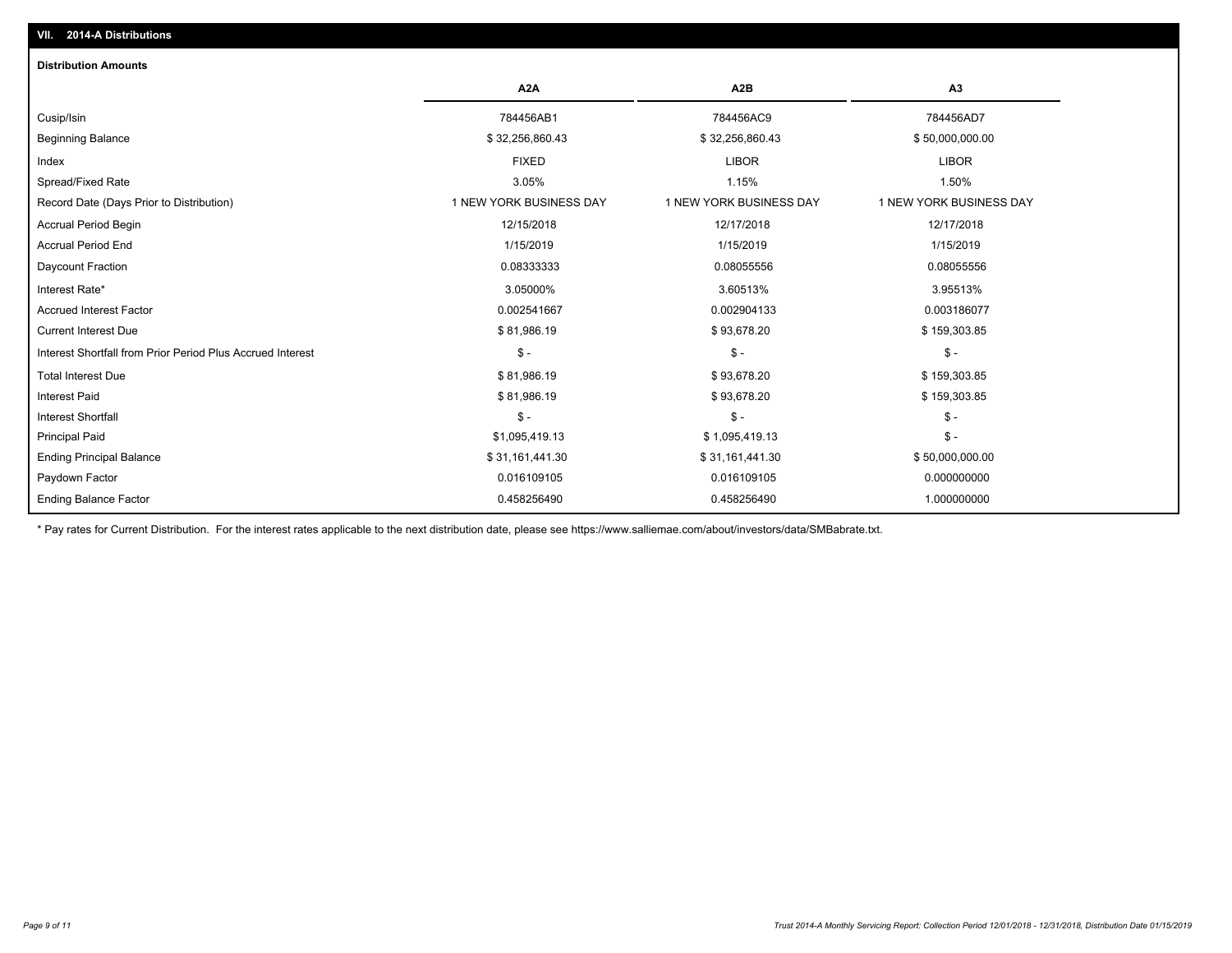| <b>Distribution Amounts</b>                                |                         |                         |                         |
|------------------------------------------------------------|-------------------------|-------------------------|-------------------------|
|                                                            | A <sub>2</sub> A        | A <sub>2</sub> B        | A <sub>3</sub>          |
| Cusip/Isin                                                 | 784456AB1               | 784456AC9               | 784456AD7               |
| <b>Beginning Balance</b>                                   | \$32,256,860.43         | \$32,256,860.43         | \$50,000,000.00         |
| Index                                                      | <b>FIXED</b>            | <b>LIBOR</b>            | <b>LIBOR</b>            |
| Spread/Fixed Rate                                          | 3.05%                   | 1.15%                   | 1.50%                   |
| Record Date (Days Prior to Distribution)                   | 1 NEW YORK BUSINESS DAY | 1 NEW YORK BUSINESS DAY | 1 NEW YORK BUSINESS DAY |
| <b>Accrual Period Begin</b>                                | 12/15/2018              | 12/17/2018              | 12/17/2018              |
| <b>Accrual Period End</b>                                  | 1/15/2019               | 1/15/2019               | 1/15/2019               |
| Daycount Fraction                                          | 0.08333333              | 0.08055556              | 0.08055556              |
| Interest Rate*                                             | 3.05000%                | 3.60513%                | 3.95513%                |
| <b>Accrued Interest Factor</b>                             | 0.002541667             | 0.002904133             | 0.003186077             |
| <b>Current Interest Due</b>                                | \$81,986.19             | \$93,678.20             | \$159,303.85            |
| Interest Shortfall from Prior Period Plus Accrued Interest | $\mathsf{\$}$ -         | $\mathsf{\$}$ -         | $\frac{1}{2}$           |
| <b>Total Interest Due</b>                                  | \$81,986.19             | \$93,678.20             | \$159,303.85            |
| <b>Interest Paid</b>                                       | \$81,986.19             | \$93,678.20             | \$159,303.85            |
| <b>Interest Shortfall</b>                                  | $\mathsf{\$}$ -         | $\mathsf{\$}$ -         | $$ -$                   |
| <b>Principal Paid</b>                                      | \$1,095,419.13          | \$1,095,419.13          | $\mathsf{\$}$ -         |
| <b>Ending Principal Balance</b>                            | \$31,161,441.30         | \$31,161,441.30         | \$50,000,000.00         |
| Paydown Factor                                             | 0.016109105             | 0.016109105             | 0.000000000             |
| <b>Ending Balance Factor</b>                               | 0.458256490             | 0.458256490             | 1.000000000             |

\* Pay rates for Current Distribution. For the interest rates applicable to the next distribution date, please see https://www.salliemae.com/about/investors/data/SMBabrate.txt.

**VII. 2014-A Distributions**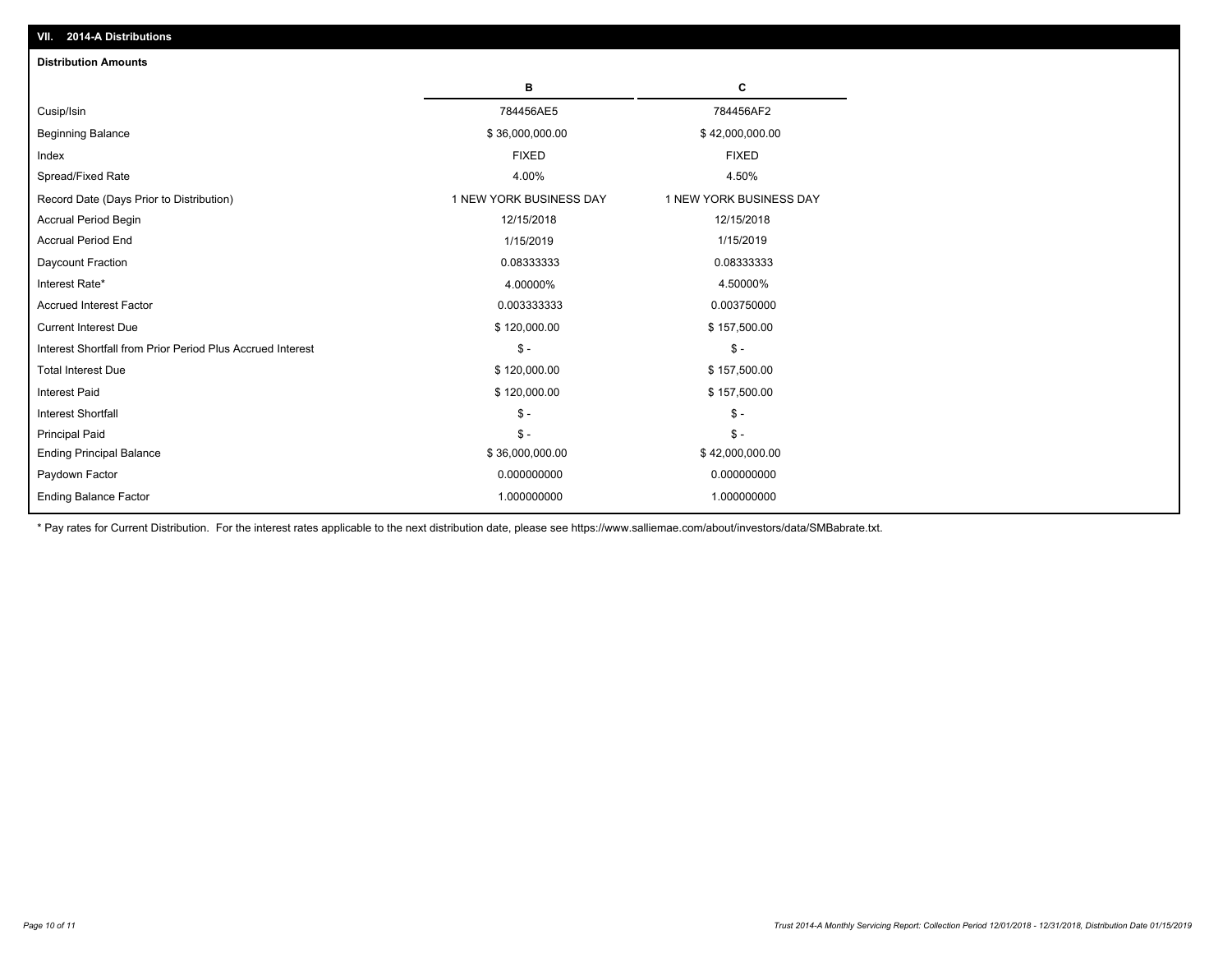| <b>Distribution Amounts</b>                                |                         |                         |
|------------------------------------------------------------|-------------------------|-------------------------|
|                                                            | в                       | C                       |
| Cusip/Isin                                                 | 784456AE5               | 784456AF2               |
| <b>Beginning Balance</b>                                   | \$36,000,000.00         | \$42,000,000.00         |
| Index                                                      | <b>FIXED</b>            | <b>FIXED</b>            |
| Spread/Fixed Rate                                          | 4.00%                   | 4.50%                   |
| Record Date (Days Prior to Distribution)                   | 1 NEW YORK BUSINESS DAY | 1 NEW YORK BUSINESS DAY |
| <b>Accrual Period Begin</b>                                | 12/15/2018              | 12/15/2018              |
| <b>Accrual Period End</b>                                  | 1/15/2019               | 1/15/2019               |
| Daycount Fraction                                          | 0.08333333              | 0.08333333              |
| Interest Rate*                                             | 4.00000%                | 4.50000%                |
| <b>Accrued Interest Factor</b>                             | 0.003333333             | 0.003750000             |
| <b>Current Interest Due</b>                                | \$120,000.00            | \$157,500.00            |
| Interest Shortfall from Prior Period Plus Accrued Interest | $\frac{1}{2}$           | $\mathsf{\$}$ -         |
| <b>Total Interest Due</b>                                  | \$120,000.00            | \$157,500.00            |
| <b>Interest Paid</b>                                       | \$120,000.00            | \$157,500.00            |
| Interest Shortfall                                         | $\mathcal{S}$ -         | $\mathbb{S}$ -          |
| <b>Principal Paid</b>                                      | $\mathsf{\$}$ -         | $\mathbb{S}$ -          |
| <b>Ending Principal Balance</b>                            | \$36,000,000.00         | \$42,000,000.00         |
| Paydown Factor                                             | 0.000000000             | 0.000000000             |
| <b>Ending Balance Factor</b>                               | 1.000000000             | 1.000000000             |

\* Pay rates for Current Distribution. For the interest rates applicable to the next distribution date, please see https://www.salliemae.com/about/investors/data/SMBabrate.txt.

**VII. 2014-A Distributions**